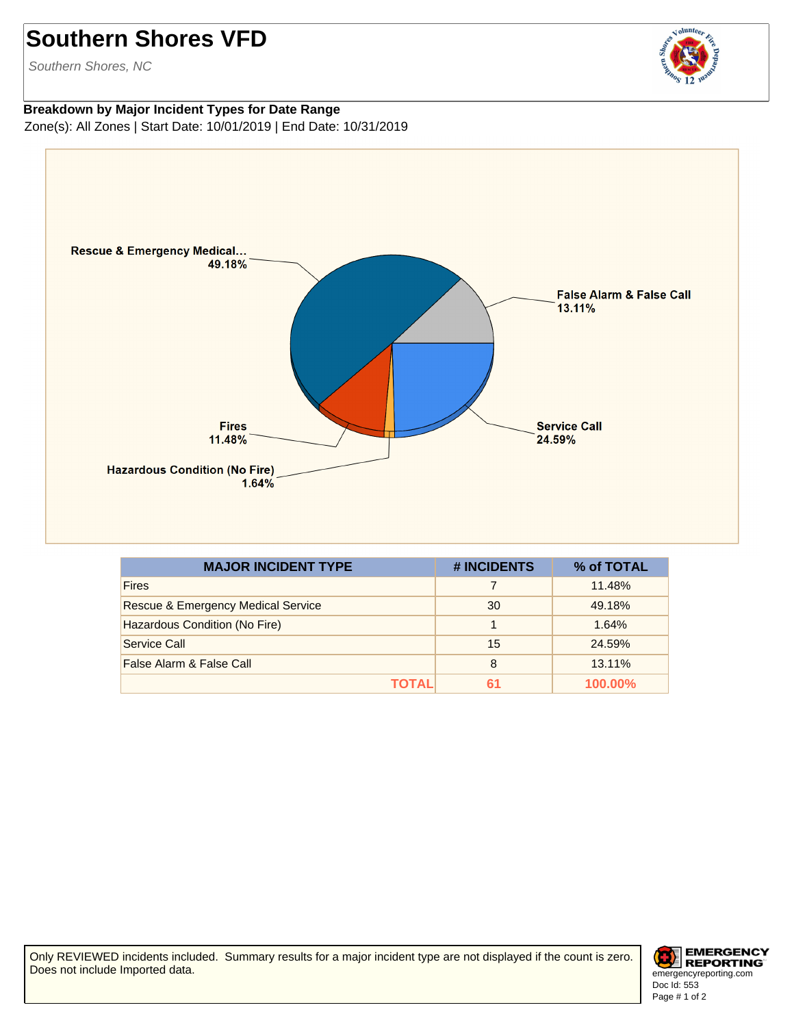## **Southern Shores VFD**

Southern Shores, NC



**Breakdown by Major Incident Types for Date Range** Zone(s): All Zones | Start Date: 10/01/2019 | End Date: 10/31/2019



| <b>MAJOR INCIDENT TYPE</b>         | # INCIDENTS | % of TOTAL |
|------------------------------------|-------------|------------|
| <b>Fires</b>                       |             | 11.48%     |
| Rescue & Emergency Medical Service | 30          | 49.18%     |
| Hazardous Condition (No Fire)      |             | 1.64%      |
| Service Call                       | 15          | 24.59%     |
| False Alarm & False Call           | 8           | 13.11%     |
| ΤΟΤΑL                              | 61          | $100.00\%$ |

Only REVIEWED incidents included. Summary results for a major incident type are not displayed if the count is zero. Does not include Imported data.